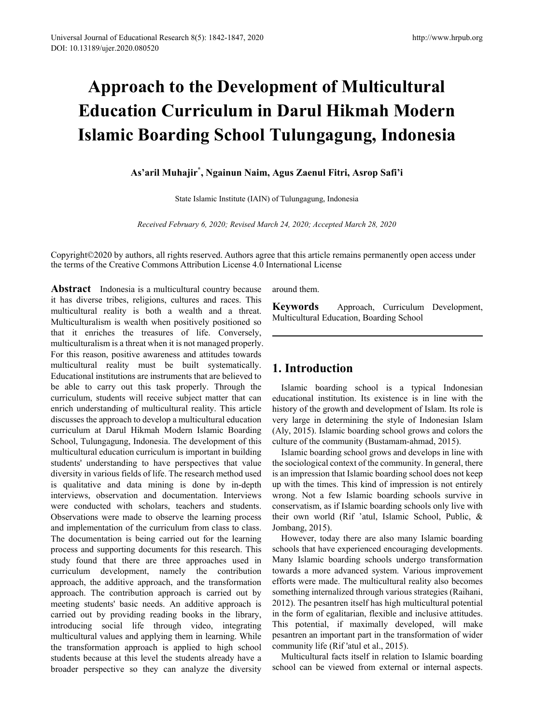# **Approach to the Development of Multicultural Education Curriculum in Darul Hikmah Modern Islamic Boarding School Tulungagung, Indonesia**

**As'aril Muhajir\* , Ngainun Naim, Agus Zaenul Fitri, Asrop Safi'i**

State Islamic Institute (IAIN) of Tulungagung, Indonesia

*Received February 6, 2020; Revised March 24, 2020; Accepted March 28, 2020*

Copyright©2020 by authors, all rights reserved. Authors agree that this article remains permanently open access under the terms of the Creative Commons Attribution License 4.0 International License

**Abstract** Indonesia is a multicultural country because it has diverse tribes, religions, cultures and races. This multicultural reality is both a wealth and a threat. Multiculturalism is wealth when positively positioned so that it enriches the treasures of life. Conversely, multiculturalism is a threat when it is not managed properly. For this reason, positive awareness and attitudes towards multicultural reality must be built systematically. Educational institutions are instruments that are believed to be able to carry out this task properly. Through the curriculum, students will receive subject matter that can enrich understanding of multicultural reality. This article discusses the approach to develop a multicultural education curriculum at Darul Hikmah Modern Islamic Boarding School, Tulungagung, Indonesia. The development of this multicultural education curriculum is important in building students' understanding to have perspectives that value diversity in various fields of life. The research method used is qualitative and data mining is done by in-depth interviews, observation and documentation. Interviews were conducted with scholars, teachers and students. Observations were made to observe the learning process and implementation of the curriculum from class to class. The documentation is being carried out for the learning process and supporting documents for this research. This study found that there are three approaches used in curriculum development, namely the contribution approach, the additive approach, and the transformation approach. The contribution approach is carried out by meeting students' basic needs. An additive approach is carried out by providing reading books in the library, introducing social life through video, integrating multicultural values and applying them in learning. While the transformation approach is applied to high school students because at this level the students already have a broader perspective so they can analyze the diversity

around them.

**Keywords** Approach, Curriculum Development, Multicultural Education, Boarding School

# **1. Introduction**

Islamic boarding school is a typical Indonesian educational institution. Its existence is in line with the history of the growth and development of Islam. Its role is very large in determining the style of Indonesian Islam (Aly, 2015). Islamic boarding school grows and colors the culture of the community (Bustamam-ahmad, 2015).

Islamic boarding school grows and develops in line with the sociological context of the community. In general, there is an impression that Islamic boarding school does not keep up with the times. This kind of impression is not entirely wrong. Not a few Islamic boarding schools survive in conservatism, as if Islamic boarding schools only live with their own world (Rif 'atul, Islamic School, Public, & Jombang, 2015).

However, today there are also many Islamic boarding schools that have experienced encouraging developments. Many Islamic boarding schools undergo transformation towards a more advanced system. Various improvement efforts were made. The multicultural reality also becomes something internalized through various strategies (Raihani, 2012). The pesantren itself has high multicultural potential in the form of egalitarian, flexible and inclusive attitudes. This potential, if maximally developed, will make pesantren an important part in the transformation of wider community life (Rif 'atul et al., 2015).

Multicultural facts itself in relation to Islamic boarding school can be viewed from external or internal aspects.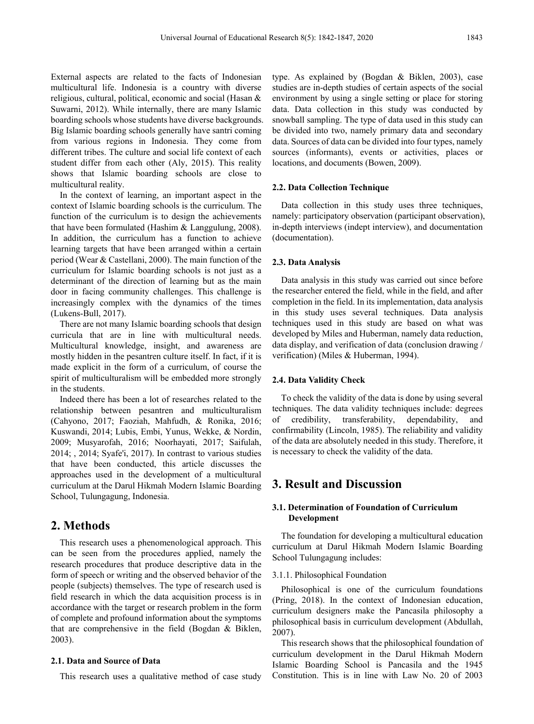External aspects are related to the facts of Indonesian multicultural life. Indonesia is a country with diverse religious, cultural, political, economic and social (Hasan & Suwarni, 2012). While internally, there are many Islamic boarding schools whose students have diverse backgrounds. Big Islamic boarding schools generally have santri coming from various regions in Indonesia. They come from different tribes. The culture and social life context of each

multicultural reality. In the context of learning, an important aspect in the context of Islamic boarding schools is the curriculum. The function of the curriculum is to design the achievements that have been formulated (Hashim & Langgulung, 2008). In addition, the curriculum has a function to achieve learning targets that have been arranged within a certain period (Wear & Castellani, 2000). The main function of the curriculum for Islamic boarding schools is not just as a determinant of the direction of learning but as the main door in facing community challenges. This challenge is increasingly complex with the dynamics of the times (Lukens-Bull, 2017).

student differ from each other (Aly, 2015). This reality shows that Islamic boarding schools are close to

There are not many Islamic boarding schools that design curricula that are in line with multicultural needs. Multicultural knowledge, insight, and awareness are mostly hidden in the pesantren culture itself. In fact, if it is made explicit in the form of a curriculum, of course the spirit of multiculturalism will be embedded more strongly in the students.

Indeed there has been a lot of researches related to the relationship between pesantren and multiculturalism (Cahyono, 2017; Faoziah, Mahfudh, & Ronika, 2016; Kuswandi, 2014; Lubis, Embi, Yunus, Wekke, & Nordin, 2009; Musyarofah, 2016; Noorhayati, 2017; Saifulah, 2014; , 2014; Syafe'i, 2017). In contrast to various studies that have been conducted, this article discusses the approaches used in the development of a multicultural curriculum at the Darul Hikmah Modern Islamic Boarding School, Tulungagung, Indonesia.

# **2. Methods**

This research uses a phenomenological approach. This can be seen from the procedures applied, namely the research procedures that produce descriptive data in the form of speech or writing and the observed behavior of the people (subjects) themselves. The type of research used is field research in which the data acquisition process is in accordance with the target or research problem in the form of complete and profound information about the symptoms that are comprehensive in the field (Bogdan & Biklen, 2003).

## **2.1. Data and Source of Data**

This research uses a qualitative method of case study

type. As explained by (Bogdan & Biklen, 2003), case studies are in-depth studies of certain aspects of the social environment by using a single setting or place for storing data. Data collection in this study was conducted by snowball sampling. The type of data used in this study can be divided into two, namely primary data and secondary data. Sources of data can be divided into four types, namely sources (informants), events or activities, places or locations, and documents (Bowen, 2009).

#### **2.2. Data Collection Technique**

Data collection in this study uses three techniques, namely: participatory observation (participant observation), in-depth interviews (indept interview), and documentation (documentation).

#### **2.3. Data Analysis**

Data analysis in this study was carried out since before the researcher entered the field, while in the field, and after completion in the field. In its implementation, data analysis in this study uses several techniques. Data analysis techniques used in this study are based on what was developed by Miles and Huberman, namely data reduction, data display, and verification of data (conclusion drawing / verification) (Miles & Huberman, 1994).

#### **2.4. Data Validity Check**

To check the validity of the data is done by using several techniques. The data validity techniques include: degrees of credibility, transferability, dependability, and confirmability (Lincoln, 1985). The reliability and validity of the data are absolutely needed in this study. Therefore, it is necessary to check the validity of the data.

# **3. Result and Discussion**

## **3.1. Determination of Foundation of Curriculum Development**

The foundation for developing a multicultural education curriculum at Darul Hikmah Modern Islamic Boarding School Tulungagung includes:

## 3.1.1. Philosophical Foundation

Philosophical is one of the curriculum foundations (Pring, 2018). In the context of Indonesian education, curriculum designers make the Pancasila philosophy a philosophical basis in curriculum development (Abdullah, 2007).

This research shows that the philosophical foundation of curriculum development in the Darul Hikmah Modern Islamic Boarding School is Pancasila and the 1945 Constitution. This is in line with Law No. 20 of 2003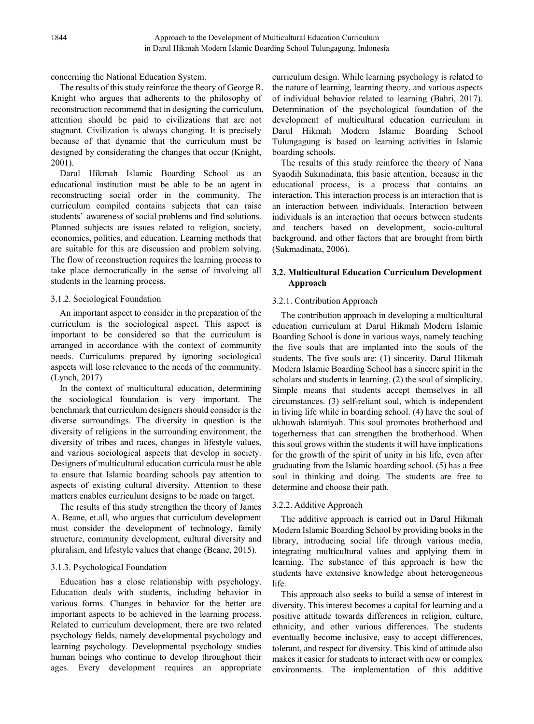concerning the National Education System.

The results of this study reinforce the theory of George R. Knight who argues that adherents to the philosophy of reconstruction recommend that in designing the curriculum, attention should be paid to civilizations that are not stagnant. Civilization is always changing. It is precisely because of that dynamic that the curriculum must be designed by considerating the changes that occur (Knight, 2001).

Darul Hikmah Islamic Boarding School as an educational institution must be able to be an agent in reconstructing social order in the community. The curriculum compiled contains subjects that can raise students' awareness of social problems and find solutions. Planned subjects are issues related to religion, society, economics, politics, and education. Learning methods that are suitable for this are discussion and problem solving. The flow of reconstruction requires the learning process to take place democratically in the sense of involving all students in the learning process.

## 3.1.2. Sociological Foundation

An important aspect to consider in the preparation of the curriculum is the sociological aspect. This aspect is important to be considered so that the curriculum is arranged in accordance with the context of community needs. Curriculums prepared by ignoring sociological aspects will lose relevance to the needs of the community. (Lynch, 2017)

In the context of multicultural education, determining the sociological foundation is very important. The benchmark that curriculum designers should consider is the diverse surroundings. The diversity in question is the diversity of religions in the surrounding environment, the diversity of tribes and races, changes in lifestyle values, and various sociological aspects that develop in society. Designers of multicultural education curricula must be able to ensure that Islamic boarding schools pay attention to aspects of existing cultural diversity. Attention to these matters enables curriculum designs to be made on target.

The results of this study strengthen the theory of James A. Beane, et.all, who argues that curriculum development must consider the development of technology, family structure, community development, cultural diversity and pluralism, and lifestyle values that change (Beane, 2015).

# 3.1.3. Psychological Foundation

Education has a close relationship with psychology. Education deals with students, including behavior in various forms. Changes in behavior for the better are important aspects to be achieved in the learning process. Related to curriculum development, there are two related psychology fields, namely developmental psychology and learning psychology. Developmental psychology studies human beings who continue to develop throughout their ages. Every development requires an appropriate curriculum design. While learning psychology is related to the nature of learning, learning theory, and various aspects of individual behavior related to learning (Bahri, 2017). Determination of the psychological foundation of the development of multicultural education curriculum in Darul Hikmah Modern Islamic Boarding School Tulungagung is based on learning activities in Islamic boarding schools.

The results of this study reinforce the theory of Nana Syaodih Sukmadinata, this basic attention, because in the educational process, is a process that contains an interaction. This interaction process is an interaction that is an interaction between individuals. Interaction between individuals is an interaction that occurs between students and teachers based on development, socio-cultural background, and other factors that are brought from birth (Sukmadinata, 2006).

# **3.2. Multicultural Education Curriculum Development Approach**

## 3.2.1. Contribution Approach

The contribution approach in developing a multicultural education curriculum at Darul Hikmah Modern Islamic Boarding School is done in various ways, namely teaching the five souls that are implanted into the souls of the students. The five souls are: (1) sincerity. Darul Hikmah Modern Islamic Boarding School has a sincere spirit in the scholars and students in learning. (2) the soul of simplicity. Simple means that students accept themselves in all circumstances. (3) self-reliant soul, which is independent in living life while in boarding school. (4) have the soul of ukhuwah islamiyah. This soul promotes brotherhood and togetherness that can strengthen the brotherhood. When this soul grows within the students it will have implications for the growth of the spirit of unity in his life, even after graduating from the Islamic boarding school. (5) has a free soul in thinking and doing. The students are free to determine and choose their path.

## 3.2.2. Additive Approach

The additive approach is carried out in Darul Hikmah Modern Islamic Boarding School by providing books in the library, introducing social life through various media, integrating multicultural values and applying them in learning. The substance of this approach is how the students have extensive knowledge about heterogeneous life.

This approach also seeks to build a sense of interest in diversity. This interest becomes a capital for learning and a positive attitude towards differences in religion, culture, ethnicity, and other various differences. The students eventually become inclusive, easy to accept differences, tolerant, and respect for diversity. This kind of attitude also makes it easier for students to interact with new or complex environments. The implementation of this additive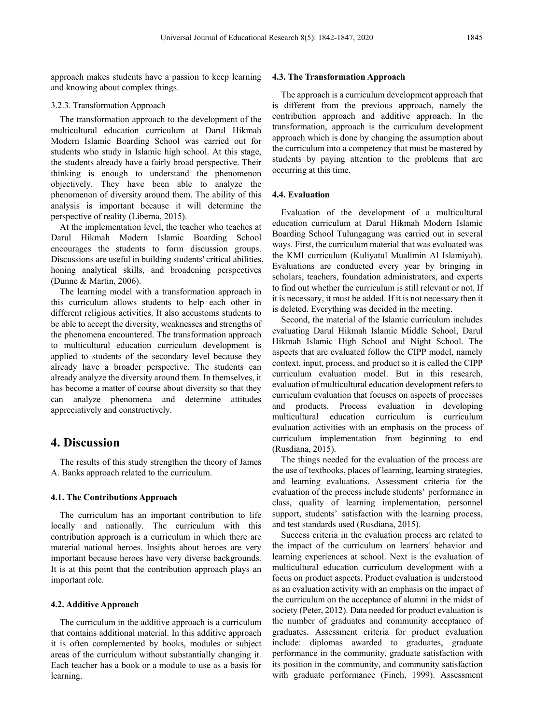approach makes students have a passion to keep learning and knowing about complex things.

#### 3.2.3. Transformation Approach

The transformation approach to the development of the multicultural education curriculum at Darul Hikmah Modern Islamic Boarding School was carried out for students who study in Islamic high school. At this stage, the students already have a fairly broad perspective. Their thinking is enough to understand the phenomenon objectively. They have been able to analyze the phenomenon of diversity around them. The ability of this analysis is important because it will determine the perspective of reality (Liberna, 2015).

At the implementation level, the teacher who teaches at Darul Hikmah Modern Islamic Boarding School encourages the students to form discussion groups. Discussions are useful in building students' critical abilities, honing analytical skills, and broadening perspectives (Dunne & Martin, 2006).

The learning model with a transformation approach in this curriculum allows students to help each other in different religious activities. It also accustoms students to be able to accept the diversity, weaknesses and strengths of the phenomena encountered. The transformation approach to multicultural education curriculum development is applied to students of the secondary level because they already have a broader perspective. The students can already analyze the diversity around them. In themselves, it has become a matter of course about diversity so that they can analyze phenomena and determine attitudes appreciatively and constructively.

# **4. Discussion**

The results of this study strengthen the theory of James A. Banks approach related to the curriculum.

#### **4.1. The Contributions Approach**

The curriculum has an important contribution to life locally and nationally. The curriculum with this contribution approach is a curriculum in which there are material national heroes. Insights about heroes are very important because heroes have very diverse backgrounds. It is at this point that the contribution approach plays an important role.

## **4.2. Additive Approach**

The curriculum in the additive approach is a curriculum that contains additional material. In this additive approach it is often complemented by books, modules or subject areas of the curriculum without substantially changing it. Each teacher has a book or a module to use as a basis for learning.

#### **4.3. The Transformation Approach**

The approach is a curriculum development approach that is different from the previous approach, namely the contribution approach and additive approach. In the transformation, approach is the curriculum development approach which is done by changing the assumption about the curriculum into a competency that must be mastered by students by paying attention to the problems that are occurring at this time.

#### **4.4. Evaluation**

Evaluation of the development of a multicultural education curriculum at Darul Hikmah Modern Islamic Boarding School Tulungagung was carried out in several ways. First, the curriculum material that was evaluated was the KMI curriculum (Kuliyatul Mualimin Al Islamiyah). Evaluations are conducted every year by bringing in scholars, teachers, foundation administrators, and experts to find out whether the curriculum is still relevant or not. If it is necessary, it must be added. If it is not necessary then it is deleted. Everything was decided in the meeting.

Second, the material of the Islamic curriculum includes evaluating Darul Hikmah Islamic Middle School, Darul Hikmah Islamic High School and Night School. The aspects that are evaluated follow the CIPP model, namely context, input, process, and product so it is called the CIPP curriculum evaluation model. But in this research, evaluation of multicultural education development refers to curriculum evaluation that focuses on aspects of processes and products. Process evaluation in developing multicultural education curriculum is curriculum evaluation activities with an emphasis on the process of curriculum implementation from beginning to end (Rusdiana, 2015).

The things needed for the evaluation of the process are the use of textbooks, places of learning, learning strategies, and learning evaluations. Assessment criteria for the evaluation of the process include students' performance in class, quality of learning implementation, personnel support, students' satisfaction with the learning process, and test standards used (Rusdiana, 2015).

Success criteria in the evaluation process are related to the impact of the curriculum on learners' behavior and learning experiences at school. Next is the evaluation of multicultural education curriculum development with a focus on product aspects. Product evaluation is understood as an evaluation activity with an emphasis on the impact of the curriculum on the acceptance of alumni in the midst of society (Peter, 2012). Data needed for product evaluation is the number of graduates and community acceptance of graduates. Assessment criteria for product evaluation include: diplomas awarded to graduates, graduate performance in the community, graduate satisfaction with its position in the community, and community satisfaction with graduate performance (Finch, 1999). Assessment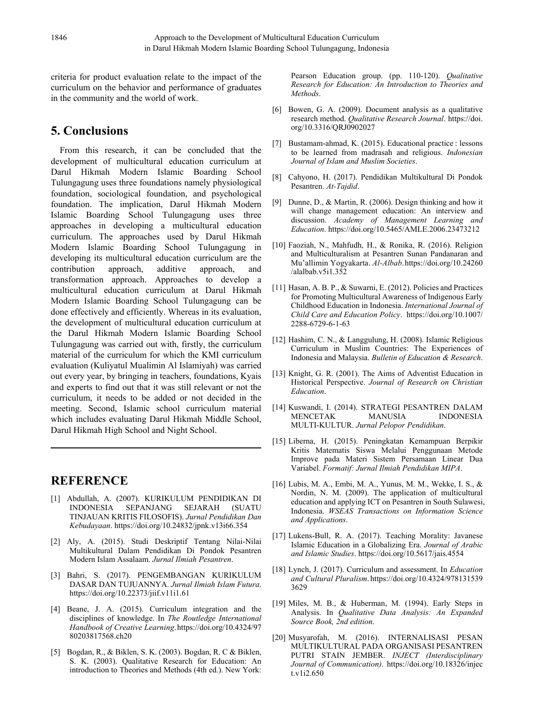criteria for product evaluation relate to the impact of the curriculum on the behavior and performance of graduates in the community and the world of work.

# **5. Conclusions**

From this research, it can be concluded that the development of multicultural education curriculum at Darul Hikmah Modern Islamic Boarding School Tulungagung uses three foundations namely physiological foundation, sociological foundation, and psychological foundation. The implication, Darul Hikmah Modern Islamic Boarding School Tulungagung uses three approaches in developing a multicultural education curriculum. The approaches used by Darul Hikmah Modern Islamic Boarding School Tulungagung in developing its multicultural education curriculum are the contribution approach, additive approach, and transformation approach. Approaches to develop a multicultural education curriculum at Darul Hikmah Modern Islamic Boarding School Tulungagung can be done effectively and efficiently. Whereas in its evaluation, the development of multicultural education curriculum at the Darul Hikmah Modern Islamic Boarding School Tulungagung was carried out with, firstly, the curriculum material of the curriculum for which the KMI curriculum evaluation (Kuliyatul Mualimin Al Islamiyah) was carried out every year, by bringing in teachers, foundations, Kyais and experts to find out that it was still relevant or not the curriculum, it needs to be added or not decided in the meeting. Second, Islamic school curriculum material which includes evaluating Darul Hikmah Middle School, Darul Hikmah High School and Night School.

# **REFERENCE**

- [1] Abdullah, A. (2007). KURIKULUM PENDIDIKAN DI INDONESIA SEPANJANG SEJARAH (SUATU TINJAUAN KRITIS FILOSOFIS). *Jurnal Pendidikan Dan Kebudayaan*. https://doi.org/10.24832/jpnk.v13i66.354
- [2] Aly, A. (2015). Studi Deskriptif Tentang Nilai-Nilai Multikultural Dalam Pendidikan Di Pondok Pesantren Modern Islam Assalaam. *Jurnal Ilmiah Pesantren*.
- [3] Bahri, S. (2017). PENGEMBANGAN KURIKULUM DASAR DAN TUJUANNYA. *Jurnal Ilmiah Islam Futura*. https://doi.org/10.22373/jiif.v11i1.61
- [4] Beane, J. A. (2015). Curriculum integration and the disciplines of knowledge. In *The Routledge International Handbook of Creative Learning*.https://doi.org/10.4324/97 80203817568.ch20
- [5] Bogdan, R., & Biklen, S. K. (2003). Bogdan, R. C & Biklen, S. K. (2003). Qualitative Research for Education: An introduction to Theories and Methods (4th ed.). New York:

Pearson Education group. (pp. 110-120). *Qualitative Research for Education: An Introduction to Theories and Methods*.

- [6] Bowen, G. A. (2009). Document analysis as a qualitative research method. *Qualitative Research Journal*. https://doi. org/10.3316/QRJ0902027
- [7] Bustamam-ahmad, K. (2015). Educational practice : lessons to be learned from madrasah and religious. *Indonesian Journal of Islam and Muslim Societies*.
- [8] Cahyono, H. (2017). Pendidikan Multikultural Di Pondok Pesantren. *At-Tajdid*.
- [9] Dunne, D., & Martin, R. (2006). Design thinking and how it will change management education: An interview and discussion. *Academy of Management Learning and Education*. https://doi.org/10.5465/AMLE.2006.23473212
- [10] Faoziah, N., Mahfudh, H., & Ronika, R. (2016). Religion and Multiculturalism at Pesantren Sunan Pandanaran and Mu'allimin Yogyakarta. *Al-Albab*.https://doi.org/10.24260 /alalbab.v5i1.352
- [11] Hasan, A. B. P., & Suwarni, E. (2012). Policies and Practices for Promoting Multicultural Awareness of Indigenous Early Childhood Education in Indonesia. *International Journal of Child Care and Education Policy*. https://doi.org/10.1007/ 2288-6729-6-1-63
- [12] Hashim, C. N., & Langgulung, H. (2008). Islamic Religious Curriculum in Muslim Countries: The Experiences of Indonesia and Malaysia. *Bulletin of Education & Research*.
- [13] Knight, G. R. (2001). The Aims of Adventist Education in Historical Perspective. *Journal of Research on Christian Education*.
- [14] Kuswandi, I. (2014). STRATEGI PESANTREN DALAM MENCETAK MANUSIA INDONESIA MULTI-KULTUR. *Jurnal Pelopor Pendidikan*.
- [15] Liberna, H. (2015). Peningkatan Kemampuan Berpikir Kritis Matematis Siswa Melalui Penggunaan Metode Improve pada Materi Sistem Persamaan Linear Dua Variabel. *Formatif: Jurnal Ilmiah Pendidikan MIPA*.
- [16] Lubis, M. A., Embi, M. A., Yunus, M. M., Wekke, I. S., & Nordin, N. M. (2009). The application of multicultural education and applying ICT on Pesantren in South Sulawesi, Indonesia. *WSEAS Transactions on Information Science and Applications*.
- [17] Lukens-Bull, R. A. (2017). Teaching Morality: Javanese Islamic Education in a Globalizing Era. *Journal of Arabic and Islamic Studies*. https://doi.org/10.5617/jais.4554
- [18] Lynch, J. (2017). Curriculum and assessment. In *Education and Cultural Pluralism*. https://doi.org/10.4324/978131539 3629
- [19] Miles, M. B., & Huberman, M. (1994). Early Steps in Analysis. In *Qualitative Data Analysis: An Expanded Source Book, 2nd edition*.
- [20] Musyarofah, M. (2016). INTERNALISASI PESAN MULTIKULTURAL PADA ORGANISASI PESANTREN PUTRI STAIN JEMBER. *INJECT (Interdisciplinary Journal of Communication)*. https://doi.org/10.18326/injec t.v1i2.650